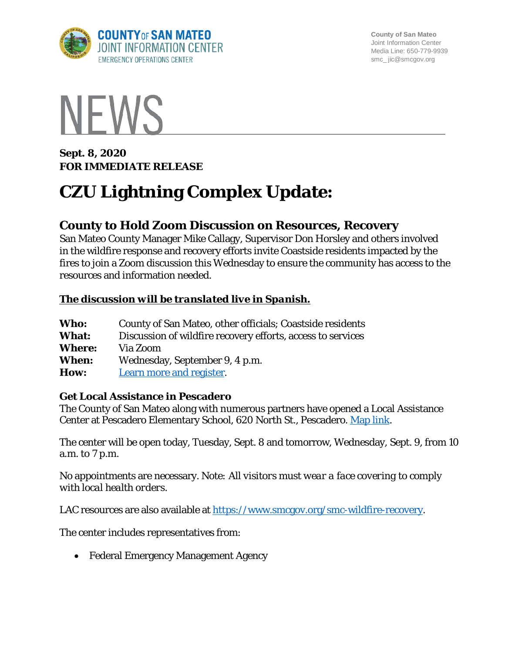

**County of San Mateo** Joint Information Center Media Line: 650-779-9939 smc\_ jic@smcgov.org



**Sept. 8, 2020 FOR IMMEDIATE RELEASE** 

# **CZU Lightning Complex Update:**

# **County to Hold Zoom Discussion on Resources, Recovery**

San Mateo County Manager Mike Callagy, Supervisor Don Horsley and others involved in the wildfire response and recovery efforts invite Coastside residents impacted by the fires to join a Zoom discussion this Wednesday to ensure the community has access to the resources and information needed.

## *The discussion will be translated live in Spanish.*

| Who:          | County of San Mateo, other officials; Coastside residents   |
|---------------|-------------------------------------------------------------|
| <b>What:</b>  | Discussion of wildfire recovery efforts, access to services |
| <b>Where:</b> | Via Zoom                                                    |
| When:         | Wednesday, September 9, 4 p.m.                              |
| How:          | Learn more and register.                                    |

#### **Get Local Assistance in Pescadero**

The County of San Mateo along with numerous partners have opened a Local Assistance Center at Pescadero Elementary School, 620 North St., Pescadero. [Map link.](https://goo.gl/maps/TSZwZVcwpuq6uyAF8)

The center will be open today, Tuesday, Sept. 8 and tomorrow, Wednesday, Sept. 9, from 10 a.m. to 7 p.m.

No appointments are necessary. *Note: All visitors must wear a face covering to comply with local health orders.*

LAC resources are also available at [https://www.smcgov.org/smc-wildfire-recovery.](https://www.smcgov.org/smc-wildfire-recovery)

The center includes representatives from:

• Federal Emergency Management Agency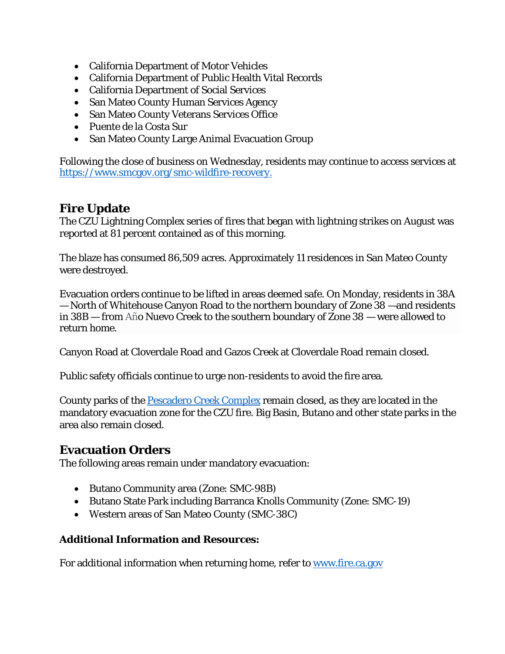- California Department of Motor Vehicles
- California Department of Public Health Vital Records
- California Department of Social Services
- San Mateo County Human Services Agency
- San Mateo County Veterans Services Office
- Puente de la Costa Sur
- San Mateo County Large Animal Evacuation Group

Following the close of business on Wednesday, residents may continue to access services at [https://www.smcgov.org/smc-wildfire-recovery.](https://www.smcgov.org/smc-wildfire-recovery)

# **Fire Update**

The CZU Lightning Complex series of fires that began with lightning strikes on August was reported at 81 percent contained as of this morning.

The blaze has consumed 86,509 acres. Approximately 11 residences in San Mateo County were destroyed.

Evacuation orders continue to be lifted in areas deemed safe. On Monday, residents in 38A — North of Whitehouse Canyon Road to the northern boundary of Zone 38 —and residents in 38B — from Año Nuevo Creek to the southern boundary of Zone 38 — were allowed to return home.

Canyon Road at Cloverdale Road and Gazos Creek at Cloverdale Road remain closed.

Public safety officials continue to urge non-residents to avoid the fire area.

County parks of the [Pescadero Creek Complex](https://parks.smcgov.org/press-release/pescadero-creek-park-complex-update) remain closed, as they are located in the mandatory evacuation zone for the CZU fire. Big Basin, Butano and other state parks in the area also remain closed.

## **Evacuation Orders**

The following areas remain under mandatory evacuation:

- Butano Community area (Zone: SMC-98B)
- Butano State Park including Barranca Knolls Community (Zone: SMC-19)
- Western areas of San Mateo County (SMC-38C)

#### **Additional Information and Resources:**

For additional information when returning home, refer to [www.fire.ca.gov](http://www.fire.ca.gov/)